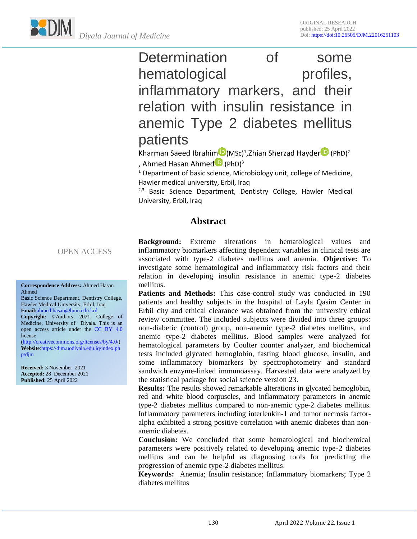

Determination of some hematological profiles, inflammatory markers, and their relation with insulin resistance in anemic Type 2 diabetes mellitus patients

Khar[m](https://orcid.org/orcid-search/search?searchQuery=0000-0001-6407-9166)an Saeed Ibrahim D(MSc)<sup>1</sup>,Zhian Sherzad Hayder D (PhD)<sup>2</sup> , Ahmed Hasan Ahmed<sup>D</sup> (PhD)<sup>3</sup>

<sup>1</sup> Department of basic science, Microbiology unit, college of Medicine, Hawler medical university, Erbil, Iraq

 $2,3$  Basic Science Department, Dentistry College, Hawler Medical University, Erbil, Iraq

## **Abstract**

OPEN ACCESS

#### **Correspondence Address:** Ahmed Hasan Ahmed

Basic Science Department, Dentistry College, Hawler Medical University, Erbil, Iraq **Email:**[ahmed.hasan@hmu.edu.krd](mailto:ahmed.hasan@hmu.edu.krd) **Copyright:** ©Authors, 2021, College of

Medicine, University of Diyala. This is an open access article under the [CC BY 4.0](https://creativecommons.org/licenses/by/4.0/) license

[\(http://creativecommons.org/licenses/by/4.0/\)](http://creativecommons.org/licenses/by/4.0/) **Website**[:https://djm.uodiyala.edu.iq/index.ph](https://djm.uodiyala.edu.iq/index.php/djm) [p/djm](https://djm.uodiyala.edu.iq/index.php/djm)

**Received:** 3 November 2021 **Accepted:** 28 December 2021 **Published:** 25 April 2022

**Background:** Extreme alterations in hematological values and inflammatory biomarkers affecting dependent variables in clinical tests are associated with type-2 diabetes mellitus and anemia. **Objective:** To investigate some hematological and inflammatory risk factors and their relation in developing insulin resistance in anemic type-2 diabetes mellitus.

**Patients and Methods:** This case-control study was conducted in 190 patients and healthy subjects in the hospital of Layla Qasim Center in Erbil city and ethical clearance was obtained from the university ethical review committee. The included subjects were divided into three groups: non-diabetic (control) group, non-anemic type-2 diabetes mellitus, and anemic type-2 diabetes mellitus. Blood samples were analyzed for hematological parameters by Coulter counter analyzer, and biochemical tests included glycated hemoglobin, fasting blood glucose, insulin, and some inflammatory biomarkers by spectrophotometry and standard sandwich enzyme-linked immunoassay. Harvested data were analyzed by the statistical package for social science version 23.

**Results:** The results showed remarkable alterations in glycated hemoglobin, red and white blood corpuscles, and inflammatory parameters in anemic type-2 diabetes mellitus compared to non-anemic type-2 diabetes mellitus. Inflammatory parameters including interleukin-1 and tumor necrosis factoralpha exhibited a strong positive correlation with anemic diabetes than nonanemic diabetes.

**Conclusion:** We concluded that some hematological and biochemical parameters were positively related to developing anemic type-2 diabetes mellitus and can be helpful as diagnosing tools for predicting the progression of anemic type-2 diabetes mellitus.

**Keywords:** Anemia; Insulin resistance; Inflammatory biomarkers; Type 2 diabetes mellitus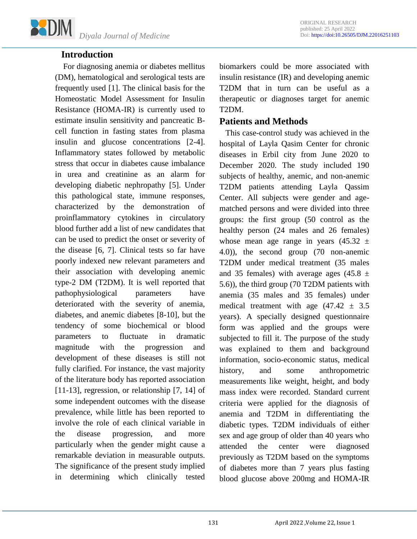

## **Introduction**

 For diagnosing anemia or diabetes mellitus (DM), hematological and serological tests are frequently used [1]. The clinical basis for the Homeostatic Model Assessment for Insulin Resistance (HOMA-IR) is currently used to estimate insulin sensitivity and pancreatic Bcell function in fasting states from plasma insulin and glucose concentrations [2-4]. Inflammatory states followed by metabolic stress that occur in diabetes cause imbalance in urea and creatinine as an alarm for developing diabetic nephropathy [5]. Under this pathological state, immune responses, characterized by the demonstration of proinflammatory cytokines in circulatory blood further add a list of new candidates that can be used to predict the onset or severity of the disease [6, 7]. Clinical tests so far have poorly indexed new relevant parameters and their association with developing anemic type-2 DM (T2DM). It is well reported that pathophysiological parameters have deteriorated with the severity of anemia, diabetes, and anemic diabetes [8-10], but the tendency of some biochemical or blood parameters to fluctuate in dramatic magnitude with the progression and development of these diseases is still not fully clarified. For instance, the vast majority of the literature body has reported association [11-13], regression, or relationship [7, 14] of some independent outcomes with the disease prevalence, while little has been reported to involve the role of each clinical variable in the disease progression, and more particularly when the gender might cause a remarkable deviation in measurable outputs. The significance of the present study implied in determining which clinically tested biomarkers could be more associated with insulin resistance (IR) and developing anemic T2DM that in turn can be useful as a therapeutic or diagnoses target for anemic T2DM.

## **Patients and Methods**

 This case-control study was achieved in the hospital of Layla Qasim Center for chronic diseases in Erbil city from June 2020 to December 2020. The study included 190 subjects of healthy, anemic, and non-anemic T2DM patients attending Layla Qassim Center. All subjects were gender and agematched persons and were divided into three groups: the first group (50 control as the healthy person (24 males and 26 females) whose mean age range in years  $(45.32 \pm$ 4.0)), the second group (70 non-anemic T2DM under medical treatment (35 males and 35 females) with average ages (45.8  $\pm$ 5.6)), the third group (70 T2DM patients with anemia (35 males and 35 females) under medical treatment with age  $(47.42 \pm 3.5)$ years). A specially designed questionnaire form was applied and the groups were subjected to fill it. The purpose of the study was explained to them and background information, socio-economic status, medical history, and some anthropometric measurements like weight, height, and body mass index were recorded. Standard current criteria were applied for the diagnosis of anemia and T2DM in differentiating the diabetic types. T2DM individuals of either sex and age group of older than 40 years who attended the center were diagnosed previously as T2DM based on the symptoms of diabetes more than 7 years plus fasting blood glucose above 200mg and HOMA-IR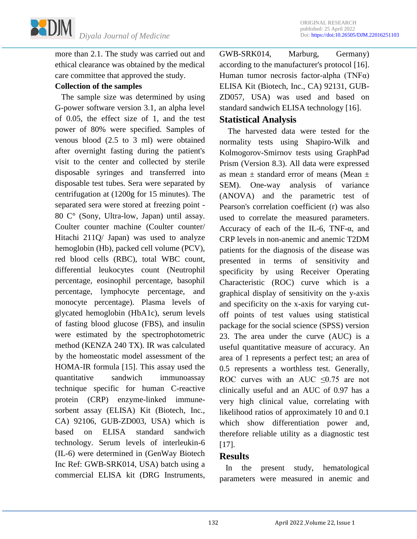

more than 2.1. The study was carried out and ethical clearance was obtained by the medical care committee that approved the study.

## **Collection of the samples**

 The sample size was determined by using G-power software version 3.1, an alpha level of 0.05, the effect size of 1, and the test power of 80% were specified. Samples of venous blood (2.5 to 3 ml) were obtained after overnight fasting during the patient's visit to the center and collected by sterile disposable syringes and transferred into disposable test tubes. Sera were separated by centrifugation at (1200g for 15 minutes). The separated sera were stored at freezing point - 80 C° (Sony, Ultra-low, Japan) until assay. Coulter counter machine (Coulter counter/ Hitachi 211Q/ Japan) was used to analyze hemoglobin (Hb), packed cell volume (PCV), red blood cells (RBC), total WBC count, differential leukocytes count (Neutrophil percentage, eosinophil percentage, basophil percentage, lymphocyte percentage, and monocyte percentage). Plasma levels of glycated hemoglobin (HbA1c), serum levels of fasting blood glucose (FBS), and insulin were estimated by the spectrophotometric method (KENZA 240 TX). IR was calculated by the homeostatic model assessment of the HOMA-IR formula [15]. This assay used the quantitative sandwich immunoassay technique specific for human C-reactive protein (CRP) enzyme-linked immunesorbent assay (ELISA) Kit (Biotech, Inc., CA) 92106, GUB-ZD003, USA) which is based on ELISA standard sandwich technology. Serum levels of interleukin-6 (IL-6) were determined in (GenWay Biotech Inc Ref: GWB-SRK014, USA) batch using a commercial ELISA kit (DRG Instruments, GWB-SRK014, Marburg, Germany) according to the manufacturer's protocol [16]. Human tumor necrosis factor-alpha (TNF $\alpha$ ) ELISA Kit (Biotech, Inc., CA) 92131, GUB-ZD057, USA) was used and based on standard sandwich ELISA technology [16].

## **Statistical Analysis**

 The harvested data were tested for the normality tests using Shapiro-Wilk and Kolmogorov-Smirnov tests using GraphPad Prism (Version 8.3). All data were expressed as mean  $\pm$  standard error of means (Mean  $\pm$ SEM). One-way analysis of variance (ANOVA) and the parametric test of Pearson's correlation coefficient (r) was also used to correlate the measured parameters. Accuracy of each of the IL-6, TNF- $\alpha$ , and CRP levels in non-anemic and anemic T2DM patients for the diagnosis of the disease was presented in terms of sensitivity and specificity by using Receiver Operating Characteristic (ROC) curve which is a graphical display of sensitivity on the y-axis and specificity on the x-axis for varying cutoff points of test values using statistical package for the social science (SPSS) version 23. The area under the curve (AUC) is a useful quantitative measure of accuracy. An area of 1 represents a perfect test; an area of 0.5 represents a worthless test. Generally, ROC curves with an AUC  $\leq 0.75$  are not clinically useful and an AUC of 0.97 has a very high clinical value, correlating with likelihood ratios of approximately 10 and 0.1 which show differentiation power and, therefore reliable utility as a diagnostic test [17].

## **Results**

 In the present study, hematological parameters were measured in anemic and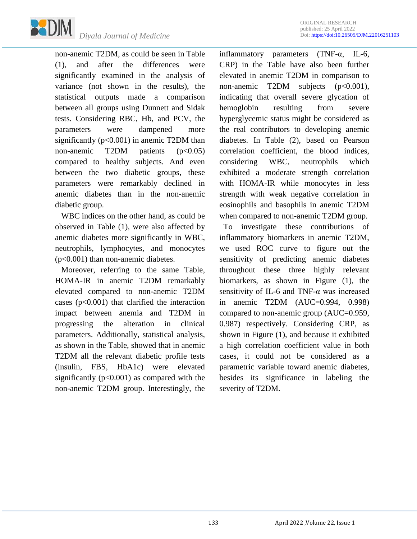

non-anemic T2DM, as could be seen in Table (1), and after the differences were significantly examined in the analysis of variance (not shown in the results), the statistical outputs made a comparison between all groups using Dunnett and Sidak tests. Considering RBC, Hb, and PCV, the parameters were dampened more significantly  $(p<0.001)$  in anemic T2DM than non-anemic  $T2DM$  patients  $(p<0.05)$ compared to healthy subjects. And even between the two diabetic groups, these parameters were remarkably declined in anemic diabetes than in the non-anemic diabetic group.

 WBC indices on the other hand, as could be observed in Table (1), were also affected by anemic diabetes more significantly in WBC, neutrophils, lymphocytes, and monocytes (p<0.001) than non-anemic diabetes.

 Moreover, referring to the same Table, HOMA-IR in anemic T2DM remarkably elevated compared to non-anemic T2DM cases (p<0.001) that clarified the interaction impact between anemia and T2DM in progressing the alteration in clinical parameters. Additionally, statistical analysis, as shown in the Table, showed that in anemic T2DM all the relevant diabetic profile tests (insulin, FBS, HbA1c) were elevated significantly  $(p<0.001)$  as compared with the non-anemic T2DM group. Interestingly, the inflammatory parameters (TNF-α, IL-6, CRP) in the Table have also been further elevated in anemic T2DM in comparison to non-anemic T2DM subjects (p<0.001), indicating that overall severe glycation of hemoglobin resulting from severe hyperglycemic status might be considered as the real contributors to developing anemic diabetes. In Table (2), based on Pearson correlation coefficient, the blood indices, considering WBC, neutrophils which exhibited a moderate strength correlation with HOMA-IR while monocytes in less strength with weak negative correlation in eosinophils and basophils in anemic T2DM when compared to non-anemic T2DM group.

 To investigate these contributions of inflammatory biomarkers in anemic T2DM, we used ROC curve to figure out the sensitivity of predicting anemic diabetes throughout these three highly relevant biomarkers, as shown in Figure (1), the sensitivity of IL-6 and TNF-α was increased in anemic T2DM (AUC=0.994, 0.998) compared to non-anemic group (AUC=0.959, 0.987) respectively. Considering CRP, as shown in Figure (1), and because it exhibited a high correlation coefficient value in both cases, it could not be considered as a parametric variable toward anemic diabetes, besides its significance in labeling the severity of T2DM.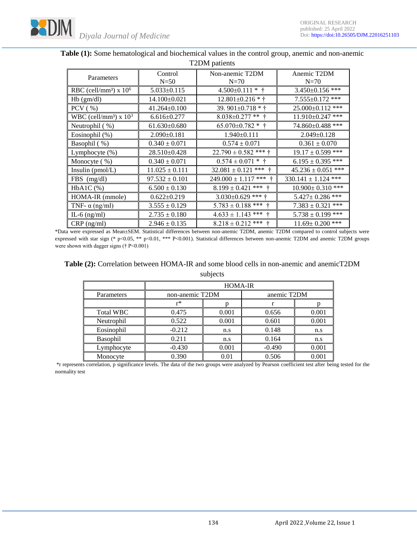

| Parameters                           | Control<br>$N=50$                                                                                                                                                                                                                                                                                                                                       | Non-anemic T2DM<br>$N=70$    | Anemic T2DM<br>$N=70$   |  |  |  |
|--------------------------------------|---------------------------------------------------------------------------------------------------------------------------------------------------------------------------------------------------------------------------------------------------------------------------------------------------------------------------------------------------------|------------------------------|-------------------------|--|--|--|
| RBC (cell/mm <sup>3</sup> ) x $106$  | $5.033 \pm 0.115$                                                                                                                                                                                                                                                                                                                                       | $4.500 \pm 0.111 *$ †        | 3.450±0.156 ***         |  |  |  |
| $Hb$ (gm/dl)                         | $14.100 \pm 0.021$                                                                                                                                                                                                                                                                                                                                      | $12.801 \pm 0.216 * \dagger$ | $7.555 \pm 0.172$ ***   |  |  |  |
| $PCV$ ( %)                           | $41.264 \pm 0.100$                                                                                                                                                                                                                                                                                                                                      | 39. 901 $\pm$ 0.718 * †      | 25.000±0.112 ***        |  |  |  |
| WBC (cell/mm <sup>3</sup> ) x $10^3$ | $6.616 \pm 0.277$                                                                                                                                                                                                                                                                                                                                       | $8.038 \pm 0.277$ ** †       | $11.910 \pm 0.247$ ***  |  |  |  |
| Neutrophil $(\% )$                   | $61.630\pm0.680$                                                                                                                                                                                                                                                                                                                                        | $65.070 \pm 0.782$ * †       | 74.860±0.488 ***        |  |  |  |
| Eosinophil (%)                       | $2.090 \pm 0.181$                                                                                                                                                                                                                                                                                                                                       | $1.940 \pm 0.111$            | $2.049 \pm 0.128$       |  |  |  |
| Basophil (%)                         | $0.340 \pm 0.071$                                                                                                                                                                                                                                                                                                                                       | $0.574 \pm 0.071$            | $0.361 \pm 0.070$       |  |  |  |
| Lymphocyte $(\%)$                    | 28.510±0.428                                                                                                                                                                                                                                                                                                                                            | $22.790 \pm 0.582$ *** †     | $19.17 \pm 0.599$ ***   |  |  |  |
| Monocyte (%)                         | $0.340 \pm 0.071$                                                                                                                                                                                                                                                                                                                                       | $0.574 \pm 0.071$ * †        | $6.195 \pm 0.395$ ***   |  |  |  |
| Insulin $(pmol/L)$                   | $11.025 \pm 0.111$                                                                                                                                                                                                                                                                                                                                      | $32.081 \pm 0.121$ *** †     | $45.236 \pm 0.051$ ***  |  |  |  |
| $FBS$ (mg/dl)                        | $97.532 \pm 0.101$                                                                                                                                                                                                                                                                                                                                      | $249.000 \pm 1.117$ *** †    | $330.141 \pm 1.124$ *** |  |  |  |
| $HbA1C$ $%$ )                        | $6.500 \pm 0.130$                                                                                                                                                                                                                                                                                                                                       | $8.199 \pm 0.421$ *** †      | $10.900 \pm 0.310$ ***  |  |  |  |
| HOMA-IR (mmole)                      | $0.622 \pm 0.219$                                                                                                                                                                                                                                                                                                                                       | $3.030\pm0.629$ *** †        | $5.427 \pm 0.286$ ***   |  |  |  |
| TNF- $\alpha$ (ng/ml)                | $3.555 \pm 0.129$                                                                                                                                                                                                                                                                                                                                       | $5.783 \pm 0.188$ *** †      | $7.383 \pm 0.321$ ***   |  |  |  |
| IL-6 $(ng/ml)$                       | $2.735 \pm 0.180$                                                                                                                                                                                                                                                                                                                                       | $4.633 \pm 1.143$ *** †      | $5.738 \pm 0.199$ ***   |  |  |  |
| $CRP$ (ng/ml)                        | $2.946 \pm 0.135$<br>$\mathbf{1}$ $\mathbf{M}$ $\mathbf{C}$ $\mathbf{C}$ $\mathbf{C}$ $\mathbf{C}$ $\mathbf{C}$ $\mathbf{C}$ $\mathbf{C}$ $\mathbf{C}$ $\mathbf{C}$ $\mathbf{C}$ $\mathbf{C}$ $\mathbf{C}$ $\mathbf{C}$ $\mathbf{C}$ $\mathbf{C}$ $\mathbf{C}$ $\mathbf{C}$ $\mathbf{C}$ $\mathbf{C}$ $\mathbf{C}$ $\mathbf{C}$ $\mathbf{C}$ $\mathbf{$ | $8.218 \pm 0.212$ *** †      | $11.69 \pm 0.200$ ***   |  |  |  |

#### **Table (1):** Some hematological and biochemical values in the control group, anemic and non-anemic T2DM patients

\*Data were expressed as Mean±SEM. Statistical differences between non-anemic T2DM, anemic T2DM compared to control subjects were expressed with star sign (\* p<0.05, \*\* p<0.01, \*\*\* P<0.001). Statistical differences between non-anemic T2DM and anemic T2DM groups were shown with dagger signs († P<0.001)

#### **Table (2):** Correlation between HOMA-IR and some blood cells in non-anemic and anemicT2DM subjects

|                  | <b>HOMA-IR</b>  |       |             |       |  |
|------------------|-----------------|-------|-------------|-------|--|
| Parameters       | non-anemic T2DM |       | anemic T2DM |       |  |
|                  | r*              |       |             |       |  |
| <b>Total WBC</b> | 0.475           | 0.001 | 0.656       | 0.001 |  |
| Neutrophil       | 0.522           | 0.001 | 0.601       | 0.001 |  |
| Eosinophil       | $-0.212$        | n.s   | 0.148       | n.s   |  |
| Basophil         | 0.211           | n.s   | 0.164       | n.s   |  |
| Lymphocyte       | $-0.430$        | 0.001 | $-0.490$    | 0.001 |  |
| Monocyte         | 0.390           | 0.01  | 0.506       | 0.001 |  |

\*r represents correlation, p significance levels. The data of the two groups were analyzed by Pearson coefficient test after being tested for the normality test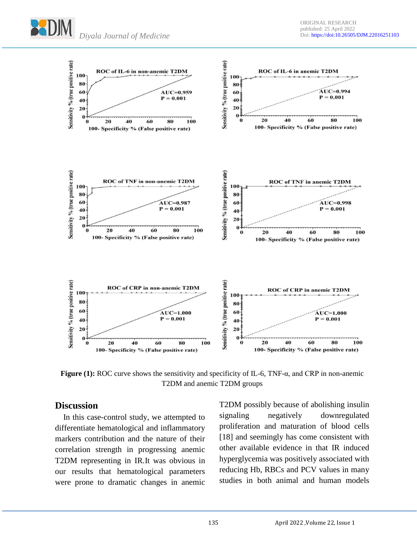



**Figure (1):** ROC curve shows the sensitivity and specificity of IL-6, TNF-α, and CRP in non-anemic T2DM and anemic T2DM groups

## **Discussion**

 In this case-control study, we attempted to differentiate hematological and inflammatory markers contribution and the nature of their correlation strength in progressing anemic T2DM representing in IR.It was obvious in our results that hematological parameters were prone to dramatic changes in anemic T2DM possibly because of abolishing insulin signaling negatively downregulated proliferation and maturation of blood cells [18] and seemingly has come consistent with other available evidence in that IR induced hyperglycemia was positively associated with reducing Hb, RBCs and PCV values in many studies in both animal and human models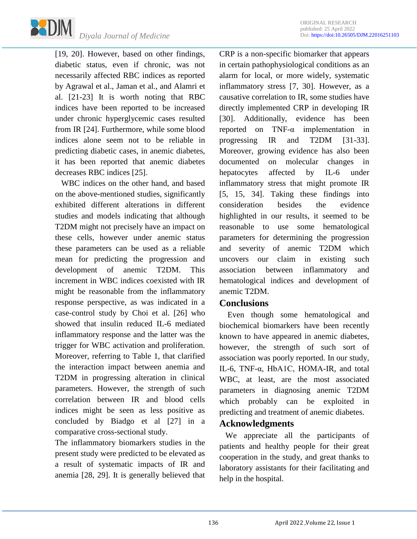

[19, 20]. However, based on other findings, diabetic status, even if chronic, was not necessarily affected RBC indices as reported by Agrawal et al., Jaman et al., and Alamri et al. [21-23] It is worth noting that RBC indices have been reported to be increased under chronic hyperglycemic cases resulted from IR [24]. Furthermore, while some blood indices alone seem not to be reliable in predicting diabetic cases, in anemic diabetes, it has been reported that anemic diabetes decreases RBC indices [25].

 WBC indices on the other hand, and based on the above-mentioned studies, significantly exhibited different alterations in different studies and models indicating that although T2DM might not precisely have an impact on these cells, however under anemic status these parameters can be used as a reliable mean for predicting the progression and development of anemic T2DM. This increment in WBC indices coexisted with IR might be reasonable from the inflammatory response perspective, as was indicated in a case-control study by Choi et al. [26] who showed that insulin reduced IL-6 mediated inflammatory response and the latter was the trigger for WBC activation and proliferation. Moreover, referring to Table 1, that clarified the interaction impact between anemia and T2DM in progressing alteration in clinical parameters. However, the strength of such correlation between IR and blood cells indices might be seen as less positive as concluded by Biadgo et al [27] in a comparative cross-sectional study.

The inflammatory biomarkers studies in the present study were predicted to be elevated as a result of systematic impacts of IR and anemia [28, 29]. It is generally believed that CRP is a non-specific biomarker that appears in certain pathophysiological conditions as an alarm for local, or more widely, systematic inflammatory stress [7, 30]. However, as a causative correlation to IR, some studies have directly implemented CRP in developing IR [30]. Additionally, evidence has been reported on TNF-α implementation in progressing IR and T2DM [31-33]. Moreover, growing evidence has also been documented on molecular changes in hepatocytes affected by IL-6 under inflammatory stress that might promote IR [5, 15, 34]. Taking these findings into consideration besides the evidence highlighted in our results, it seemed to be reasonable to use some hematological parameters for determining the progression and severity of anemic T2DM which uncovers our claim in existing such association between inflammatory and hematological indices and development of anemic T2DM.

## **Conclusions**

 Even though some hematological and biochemical biomarkers have been recently known to have appeared in anemic diabetes, however, the strength of such sort of association was poorly reported. In our study, IL-6, TNF-α, HbA1C, HOMA-IR, and total WBC, at least, are the most associated parameters in diagnosing anemic T2DM which probably can be exploited in predicting and treatment of anemic diabetes.

### **Acknowledgments**

 We appreciate all the participants of patients and healthy people for their great cooperation in the study, and great thanks to laboratory assistants for their facilitating and help in the hospital.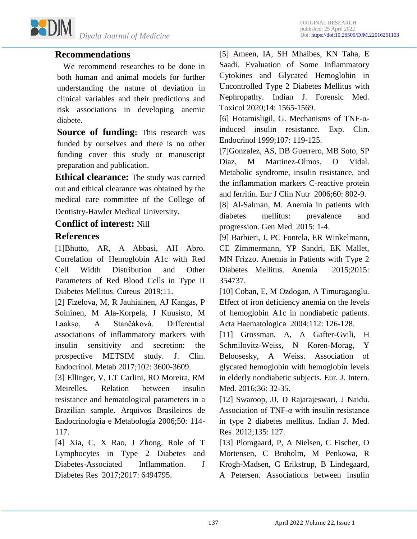

## **Recommendations**

 We recommend researches to be done in both human and animal models for further understanding the nature of deviation in clinical variables and their predictions and risk associations in developing anemic diabete.

**Source of funding:** This research was funded by ourselves and there is no other funding cover this study or manuscript preparation and publication.

**Ethical clearance:** The study was carried out and ethical clearance was obtained by the medical care committee of the College of Dentistry-Hawler Medical University.

## **Conflict of interest:** Nill

## **References**

[1]Bhutto, AR, A Abbasi, AH Abro. Correlation of Hemoglobin A1c with Red Cell Width Distribution and Other Parameters of Red Blood Cells in Type II Diabetes Mellitus. Cureus 2019;11.

[2] Fizelova, M, R Jauhiainen, AJ Kangas, P Soininen, M Ala-Korpela, J Kuusisto, M Laakso, A Stančáková. Differential associations of inflammatory markers with insulin sensitivity and secretion: the prospective METSIM study. J. Clin. Endocrinol. Metab 2017;102: 3600-3609.

[3] Ellinger, V, LT Carlini, RO Moreira, RM Meirelles. Relation between insulin resistance and hematological parameters in a Brazilian sample. Arquivos Brasileiros de Endocrinologia e Metabologia 2006;50: 114- 117.

[4] Xia, C, X Rao, J Zhong. Role of T Lymphocytes in Type 2 Diabetes and Diabetes-Associated Inflammation. J Diabetes Res 2017;2017: 6494795.

[5] Ameen, IA, SH Mhaibes, KN Taha, E Saadi. Evaluation of Some Inflammatory Cytokines and Glycated Hemoglobin in Uncontrolled Type 2 Diabetes Mellitus with Nephropathy. Indian J. Forensic Med. Toxicol 2020;14: 1565-1569.

[6] Hotamisligil, G. Mechanisms of TNF- $\alpha$ induced insulin resistance. Exp. Clin. Endocrinol 1999;107: 119-125.

[7]Gonzalez, AS, DB Guerrero, MB Soto, SP Diaz, M Martinez-Olmos, O Vidal. Metabolic syndrome, insulin resistance, and the inflammation markers C-reactive protein and ferritin. Eur J Clin Nutr 2006;60: 802-9.

[8] Al-Salman, M. Anemia in patients with diabetes mellitus: prevalence and progression. Gen Med 2015: 1-4.

[9] Barbieri, J, PC Fontela, ER Winkelmann, CE Zimmermann, YP Sandri, EK Mallet, MN Frizzo. Anemia in Patients with Type 2 Diabetes Mellitus. Anemia 2015;2015: 354737.

[10] Coban, E, M Ozdogan, A Timuragaoglu. Effect of iron deficiency anemia on the levels of hemoglobin A1c in nondiabetic patients. Acta Haematologica 2004;112: 126-128.

[11] Grossman, A, A Gafter-Gvili, H Schmilovitz-Weiss, N Koren-Morag, Y Beloosesky, A Weiss. Association of glycated hemoglobin with hemoglobin levels in elderly nondiabetic subjects. Eur. J. Intern. Med. 2016;36: 32-35.

[12] Swaroop, JJ, D Rajarajeswari, J Naidu. Association of TNF-α with insulin resistance in type 2 diabetes mellitus. Indian J. Med. Res 2012;135: 127.

[13] Plomgaard, P, A Nielsen, C Fischer, O Mortensen, C Broholm, M Penkowa, R Krogh-Madsen, C Erikstrup, B Lindegaard, A Petersen. Associations between insulin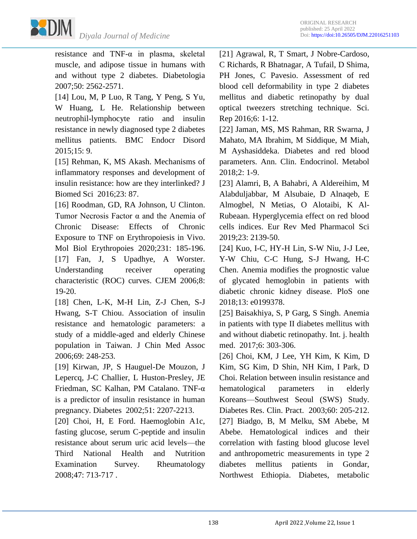

resistance and TNF-α in plasma, skeletal muscle, and adipose tissue in humans with and without type 2 diabetes. Diabetologia 2007;50: 2562-2571.

[14] Lou, M, P Luo, R Tang, Y Peng, S Yu, W Huang, L He. Relationship between neutrophil-lymphocyte ratio and insulin resistance in newly diagnosed type 2 diabetes mellitus patients. BMC Endocr Disord 2015;15: 9.

[15] Rehman, K, MS Akash. Mechanisms of inflammatory responses and development of insulin resistance: how are they interlinked? J Biomed Sci 2016;23: 87.

[16] Roodman, GD, RA Johnson, U Clinton. Tumor Necrosis Factor α and the Anemia of Chronic Disease: Effects of Chronic Exposure to TNF on Erythropoiesis in Vivo. Mol Biol Erythropoies 2020;231: 185-196. [17] Fan, J, S Upadhye, A Worster. Understanding receiver operating characteristic (ROC) curves. CJEM 2006;8: 19-20.

[18] Chen, L-K, M-H Lin, Z-J Chen, S-J Hwang, S-T Chiou. Association of insulin resistance and hematologic parameters: a study of a middle-aged and elderly Chinese population in Taiwan. J Chin Med Assoc 2006;69: 248-253.

[19] Kirwan, JP, S Hauguel-De Mouzon, J Lepercq, J-C Challier, L Huston-Presley, JE Friedman, SC Kalhan, PM Catalano. TNF-α is a predictor of insulin resistance in human pregnancy. Diabetes 2002;51: 2207-2213.

[20] Choi, H, E Ford. Haemoglobin A1c, fasting glucose, serum C-peptide and insulin resistance about serum uric acid levels—the Third National Health and Nutrition Examination Survey. Rheumatology 2008;47: 713-717 .

[21] Agrawal, R, T Smart, J Nobre-Cardoso, C Richards, R Bhatnagar, A Tufail, D Shima, PH Jones, C Pavesio. Assessment of red blood cell deformability in type 2 diabetes mellitus and diabetic retinopathy by dual optical tweezers stretching technique. Sci. Rep 2016;6: 1-12.

[22] Jaman, MS, MS Rahman, RR Swarna, J Mahato, MA Ibrahim, M Siddique, M Miah, M Ayshasiddeka. Diabetes and red blood parameters. Ann. Clin. Endocrinol. Metabol 2018;2: 1-9.

[23] Alamri, B, A Bahabri, A Aldereihim, M Alabduljabbar, M Alsubaie, D Alnaqeb, E Almogbel, N Metias, O Alotaibi, K Al-Rubeaan. Hyperglycemia effect on red blood cells indices. Eur Rev Med Pharmacol Sci 2019;23: 2139-50.

[24] Kuo, I-C, HY-H Lin, S-W Niu, J-J Lee, Y-W Chiu, C-C Hung, S-J Hwang, H-C Chen. Anemia modifies the prognostic value of glycated hemoglobin in patients with diabetic chronic kidney disease. PloS one 2018;13: e0199378.

[25] Baisakhiya, S, P Garg, S Singh. Anemia in patients with type II diabetes mellitus with and without diabetic retinopathy. Int. j. health med. 2017;6: 303-306.

[26] Choi, KM, J Lee, YH Kim, K Kim, D Kim, SG Kim, D Shin, NH Kim, I Park, D Choi. Relation between insulin resistance and hematological parameters in elderly Koreans—Southwest Seoul (SWS) Study. Diabetes Res. Clin. Pract. 2003;60: 205-212. [27] Biadgo, B, M Melku, SM Abebe, M Abebe. Hematological indices and their correlation with fasting blood glucose level and anthropometric measurements in type 2 diabetes mellitus patients in Gondar, Northwest Ethiopia. Diabetes, metabolic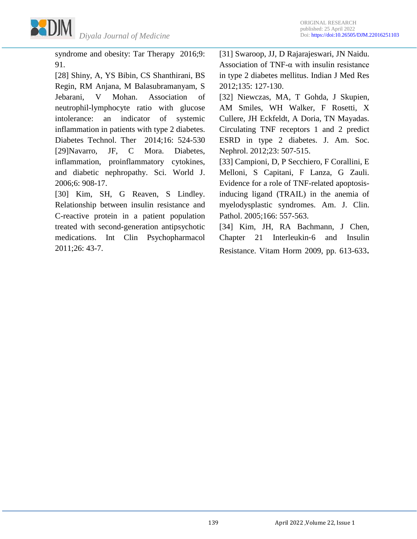

syndrome and obesity: Tar Therapy 2016;9: 91.

[28] Shiny, A, YS Bibin, CS Shanthirani, BS Regin, RM Anjana, M Balasubramanyam, S Jebarani, V Mohan. Association of neutrophil-lymphocyte ratio with glucose intolerance: an indicator of systemic inflammation in patients with type 2 diabetes. Diabetes Technol. Ther 2014;16: 524-530 [29]Navarro, JF, C Mora. Diabetes, inflammation, proinflammatory cytokines, and diabetic nephropathy. Sci. World J. 2006;6: 908-17.

[30] Kim, SH, G Reaven, S Lindley. Relationship between insulin resistance and C-reactive protein in a patient population treated with second-generation antipsychotic medications. Int Clin Psychopharmacol 2011;26: 43-7.

[31] Swaroop, JJ, D Rajarajeswari, JN Naidu. Association of TNF- $\alpha$  with insulin resistance in type 2 diabetes mellitus. Indian J Med Res 2012;135: 127-130.

[32] Niewczas, MA, T Gohda, J Skupien, AM Smiles, WH Walker, F Rosetti, X Cullere, JH Eckfeldt, A Doria, TN Mayadas. Circulating TNF receptors 1 and 2 predict ESRD in type 2 diabetes. J. Am. Soc. Nephrol. 2012;23: 507-515.

[33] Campioni, D, P Secchiero, F Corallini, E Melloni, S Capitani, F Lanza, G Zauli. Evidence for a role of TNF-related apoptosisinducing ligand (TRAIL) in the anemia of myelodysplastic syndromes. Am. J. Clin. Pathol. 2005;166: 557-563.

[34] Kim, JH, RA Bachmann, J Chen, Chapter 21 Interleukin‐6 and Insulin Resistance. Vitam Horm 2009, pp. 613-633.